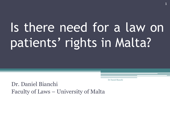# Is there need for a law on patients' rights in Malta?

Dr Daniel Bianchi

Dr. Daniel Bianchi Faculty of Laws – University of Malta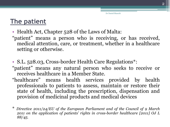Dr Daniel Bianchi

## **The patient**

- Health Act, Chapter 528 of the Laws of Malta:
- "patient" means a person who is receiving, or has received, medical attention, care, or treatment, whether in a healthcare setting or otherwise.
- S.L. 528.03, Cross-border Health Care Regulations<sup>\*</sup>:
- "patient" means any natural person who seeks to receive or receives healthcare in a Member State.
- "healthcare" means health services provided by health professionals to patients to assess, maintain or restore their state of health, including the prescription, dispensation and provision of medicinal products and medical devices
- \* *Directive 2011/24/EU of the European Parliament and of the Council of 9 March 2011 on the application of patients' rights in cross-border healthcare [2011] OJ L 88/45.*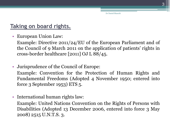Dr Daniel Bianchi

### **Taking on board rights.**

• European Union Law:

Example: Directive 2011/24/EU of the European Parliament and of the Council of 9 March 2011 on the application of patients' rights in cross-border healthcare [2011] OJ L 88/45.

- Jurisprudence of the Council of Europe: Example: Convention for the Protection of Human Rights and Fundamental Freedoms (Adopted 4 November 1950; entered into force 3 September 1953) ETS 5.
- International human rights law:

Example: United Nations Convention on the Rights of Persons with Disabilities (Adopted 13 December 2006, entered into force 3 May 2008) 2515 U.N.T.S. 3.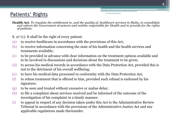#### **Patients' Rights**

Health Act: To regulate the entitlement to, and the quality of, healthcare services in Malta, to consolidate *and reform the Government structures and entities responsible for Health and to provide for the rights of patients*.

Dr Daniel Bianchi

- S. 27 (1): It shall be the right of every patient:
- (a) to receive healthcare in accordance with the provisions of this Act;
- (b) to receive information concerning the state of his health and the health services and treatments available;
- (c) to be provided in advance with clear information on the treatment options available and to be involved in discussions and decisions about the treatment to be given;
- (d) to access his medical records in accordance with the Data Protection Act, provided this is not to the detriment of his overall wellbeing;
- (e) to have his medical data processed in conformity with the Data Protection Act;
- (f) to refuse treatment that is offered to him, provided such refusal is endorsed by his signature;
- (g) to be seen and treated without excessive or undue delay;
- (h) to file a complaint about services received and be informed of the outcome of the investigation of his complaint in a timely manner;
- (i) to appeal in respect of any decision taken under this Act to the Administrative Review Tribunal in accordance with the provisions of the Administrative Justice Act and any applicable regulations made thereunder.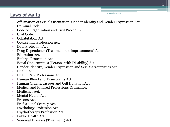#### **Laws of Malta**

Dr Daniel Bianchi

- Affirmation of Sexual Orientation, Gender Identity and Gender Expression Act.
- Criminal Code.
- Code of Organization and Civil Procedure.
- Civil Code.
- Cohabitation Act.
- Counselling Profession Act.
- Data Protection Act.
- Drug Dependence (Treatment not imprisonment) Act.
- Education Act.
- Embryo Protection Act.
- Equal Opportunities (Persons with Disability) Act.
- Gender Identity, Gender Expression and Sex Characteristics Act.
- Health Act.
- Health Care Professions Act.
- Human Blood and Transplants Act.
- Human Organs, Tissues and Cell Donation Act.
- Medical and Kindred Professions Ordinance.
- Medicines Act.
- Mental Health Act.
- Prisons Act.
- Professional Secrecy Act.
- Psychology Profession Act.
- Psychotherapy Profession Act.
- Public Health Act.
- Venereal Diseases (Treatment) Act.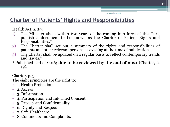#### **Charter of Patients' Rights and Responsibilities**

Health Act, s. 29:

- 1) The Minister shall, within two years of the coming into force of this Part, publish a document to be known as the Charter of Patient Rights and Responsibilities.\*
- 2) The Charter shall set out a summary of the rights and responsibilities of patients and other relevant persons as existing at the time of publication.
- 3) The Charter shall be updated on a regular basis to reflect contemporary trends and issues.\*
- \* Published end of 2016; **due to be reviewed by the end of 2021** (Charter, p. 19).

Charter, p. 3:

The eight principles are the right to:

- 1. Health Protection
- 2. Access
- 3. Information
- 4. Participation and Informed Consent
- 5. Privacy and Confidentiality
- 6. Dignity and Respect
- 7. Safe Healthcare
- 8. Comments and Complaints.